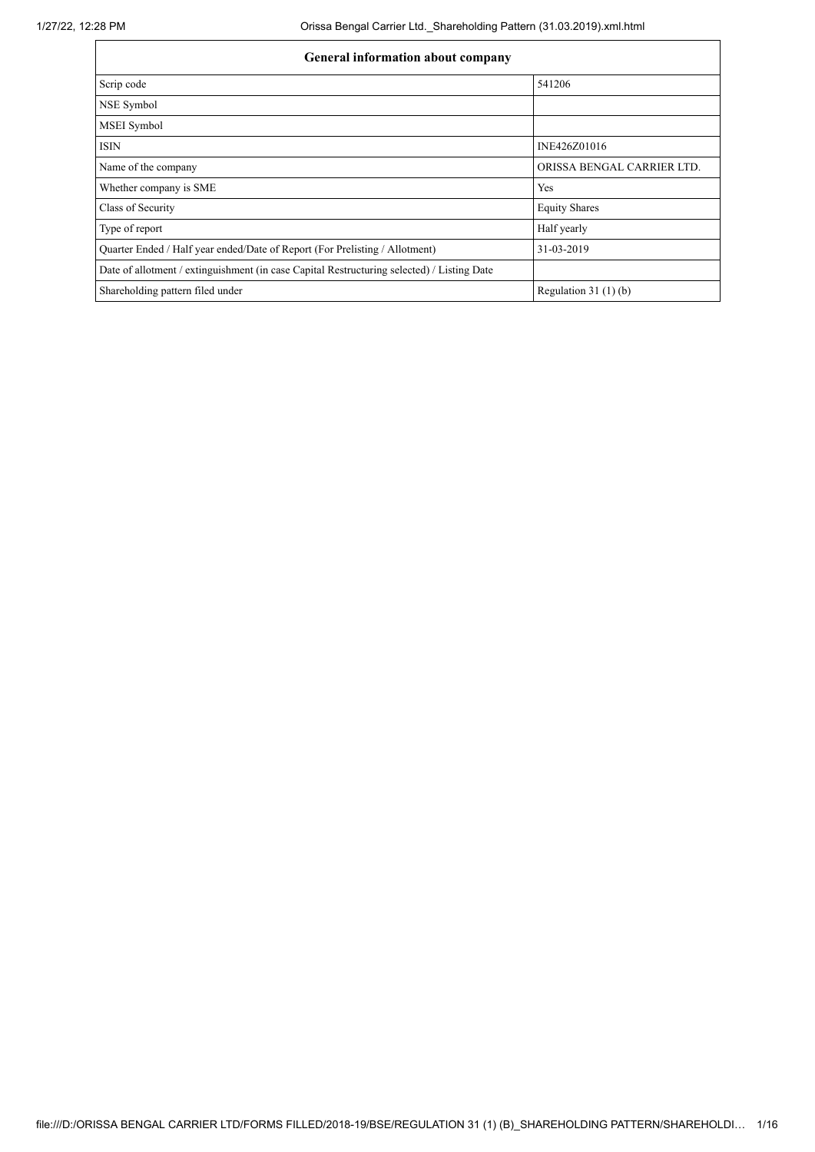| <b>General information about company</b>                                                   |                            |  |  |  |  |
|--------------------------------------------------------------------------------------------|----------------------------|--|--|--|--|
| Scrip code                                                                                 | 541206                     |  |  |  |  |
| NSE Symbol                                                                                 |                            |  |  |  |  |
| MSEI Symbol                                                                                |                            |  |  |  |  |
| <b>ISIN</b>                                                                                | INE426Z01016               |  |  |  |  |
| Name of the company                                                                        | ORISSA BENGAL CARRIER LTD. |  |  |  |  |
| Whether company is SME                                                                     | Yes                        |  |  |  |  |
| Class of Security                                                                          | <b>Equity Shares</b>       |  |  |  |  |
| Type of report                                                                             | Half yearly                |  |  |  |  |
| Quarter Ended / Half year ended/Date of Report (For Prelisting / Allotment)                | 31-03-2019                 |  |  |  |  |
| Date of allotment / extinguishment (in case Capital Restructuring selected) / Listing Date |                            |  |  |  |  |
| Shareholding pattern filed under                                                           | Regulation $31(1)(b)$      |  |  |  |  |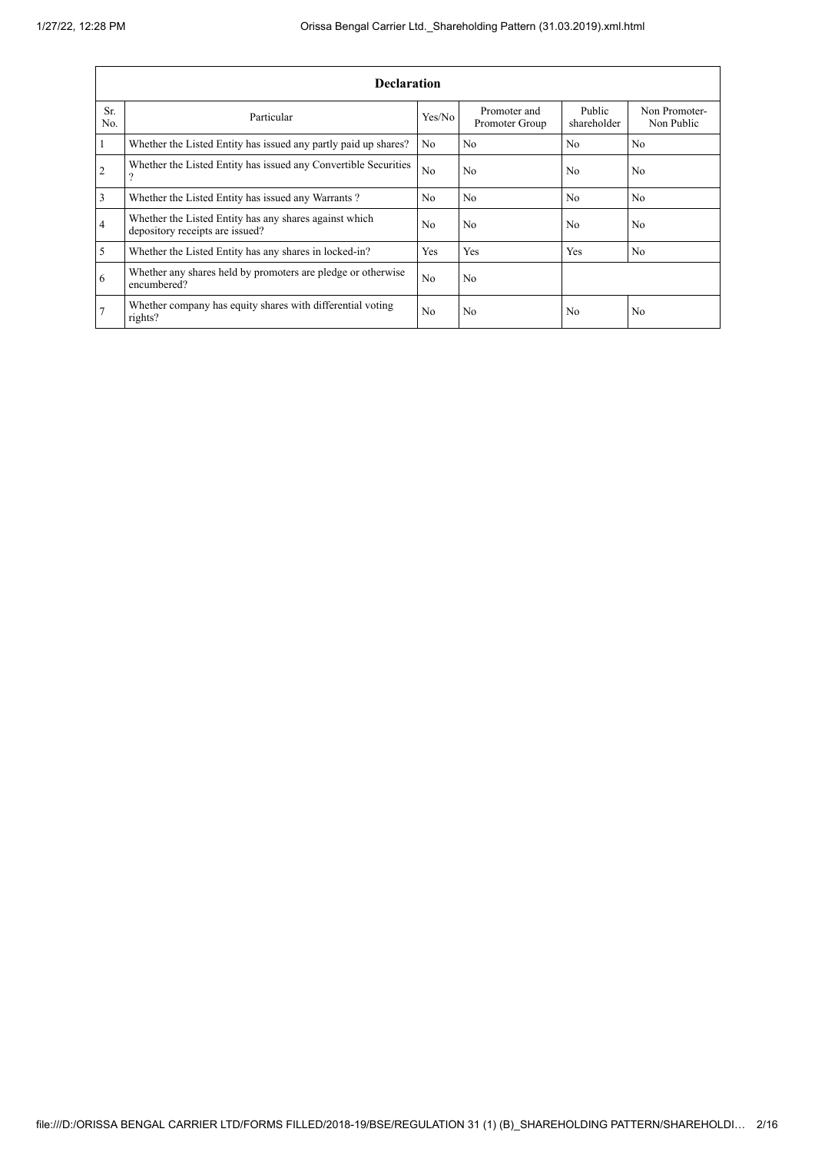|                | <b>Declaration</b>                                                                        |                |                                |                       |                             |  |  |  |
|----------------|-------------------------------------------------------------------------------------------|----------------|--------------------------------|-----------------------|-----------------------------|--|--|--|
| Sr.<br>No.     | Particular                                                                                | Yes/No         | Promoter and<br>Promoter Group | Public<br>shareholder | Non Promoter-<br>Non Public |  |  |  |
|                | Whether the Listed Entity has issued any partly paid up shares?                           | N <sub>o</sub> | N <sub>0</sub>                 | N <sub>0</sub>        | N <sub>0</sub>              |  |  |  |
| $\overline{2}$ | Whether the Listed Entity has issued any Convertible Securities                           | No             | N <sub>0</sub>                 | N <sub>0</sub>        | N <sub>0</sub>              |  |  |  |
| 3              | Whether the Listed Entity has issued any Warrants?                                        | N <sub>0</sub> | No                             | No                    | No.                         |  |  |  |
| $\overline{4}$ | Whether the Listed Entity has any shares against which<br>depository receipts are issued? | N <sub>0</sub> | N <sub>0</sub>                 | No                    | N <sub>0</sub>              |  |  |  |
| 5              | Whether the Listed Entity has any shares in locked-in?                                    | Yes            | Yes                            | Yes                   | No                          |  |  |  |
| 6              | Whether any shares held by promoters are pledge or otherwise<br>encumbered?               | N <sub>o</sub> | No                             |                       |                             |  |  |  |
| $\overline{7}$ | Whether company has equity shares with differential voting<br>rights?                     | No             | No                             | N <sub>0</sub>        | No                          |  |  |  |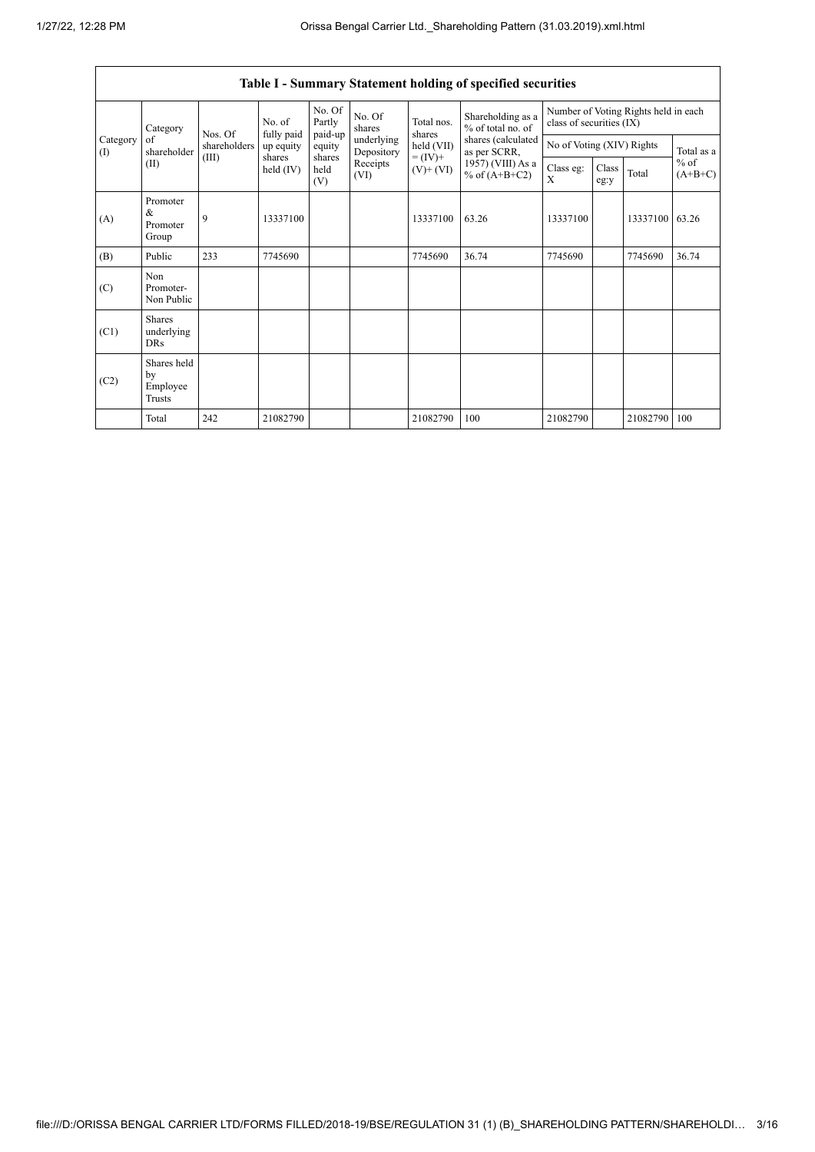$\mathbf{r}$ 

|                 | Table I - Summary Statement holding of specified securities |              |                       |                             |                          |                                            |                                                                                                                      |                                                                  |               |          |                     |
|-----------------|-------------------------------------------------------------|--------------|-----------------------|-----------------------------|--------------------------|--------------------------------------------|----------------------------------------------------------------------------------------------------------------------|------------------------------------------------------------------|---------------|----------|---------------------|
|                 | Category<br>of<br>shareholder<br>(II)                       | Nos. Of      | No. of<br>fully paid  | No. Of<br>Partly<br>paid-up | No. Of<br>shares         | Total nos.<br>shares                       | Shareholding as a<br>% of total no. of<br>shares (calculated<br>as per SCRR,<br>1957) (VIII) As a<br>% of $(A+B+C2)$ | Number of Voting Rights held in each<br>class of securities (IX) |               |          |                     |
| Category<br>(1) |                                                             | shareholders | up equity             | equity                      | underlying<br>Depository | held (VII)<br>$= (IV) +$<br>$(V)$ + $(VI)$ |                                                                                                                      | No of Voting (XIV) Rights                                        |               |          | Total as a          |
|                 |                                                             | (III)        | shares<br>held $(IV)$ | shares<br>held<br>(V)       | Receipts<br>(VI)         |                                            |                                                                                                                      | Class eg:<br>X                                                   | Class<br>eg:y | Total    | $%$ of<br>$(A+B+C)$ |
| (A)             | Promoter<br>&<br>Promoter<br>Group                          | 9            | 13337100              |                             |                          | 13337100                                   | 63.26                                                                                                                | 13337100                                                         |               | 13337100 | 63.26               |
| (B)             | Public                                                      | 233          | 7745690               |                             |                          | 7745690                                    | 36.74                                                                                                                | 7745690                                                          |               | 7745690  | 36.74               |
| (C)             | Non<br>Promoter-<br>Non Public                              |              |                       |                             |                          |                                            |                                                                                                                      |                                                                  |               |          |                     |
| (C1)            | <b>Shares</b><br>underlying<br><b>DRs</b>                   |              |                       |                             |                          |                                            |                                                                                                                      |                                                                  |               |          |                     |
| (C2)            | Shares held<br>by<br>Employee<br>Trusts                     |              |                       |                             |                          |                                            |                                                                                                                      |                                                                  |               |          |                     |
|                 | Total                                                       | 242          | 21082790              |                             |                          | 21082790                                   | 100                                                                                                                  | 21082790                                                         |               | 21082790 | 100                 |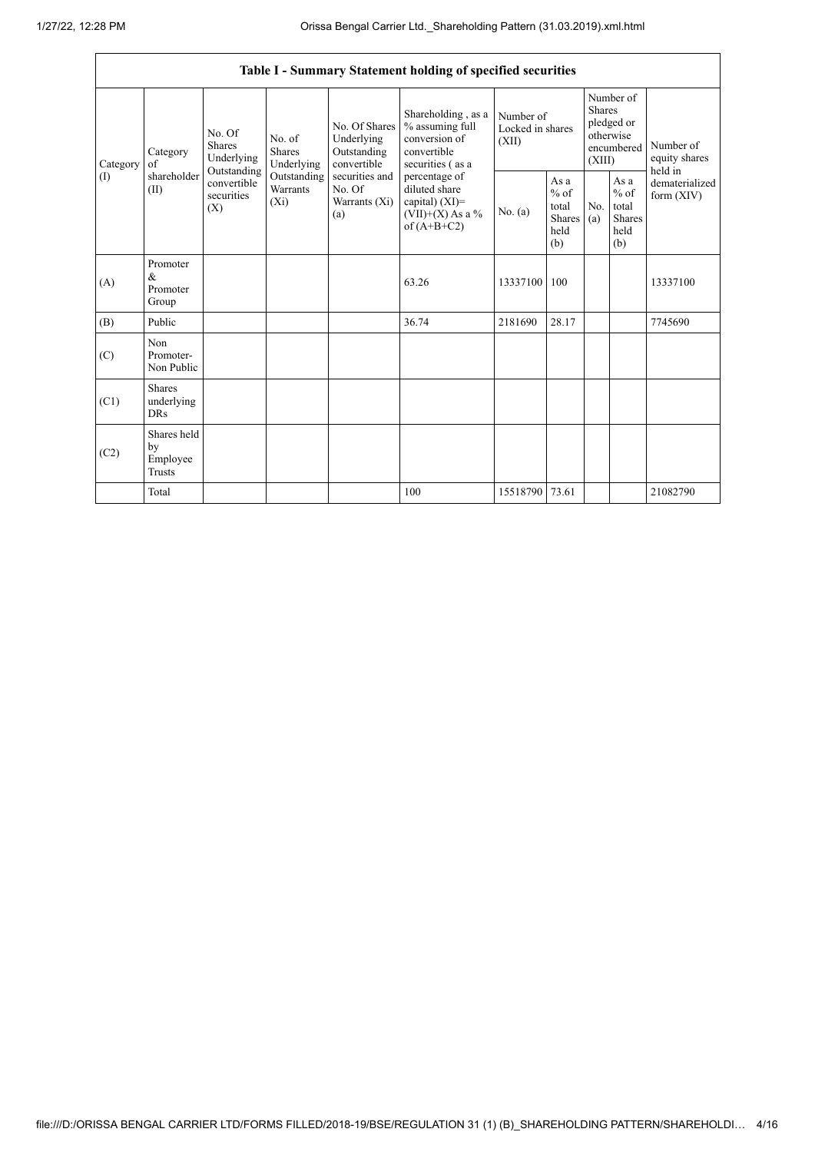|                          | Table I - Summary Statement holding of specified securities |                                                                                                     |                                       |                                                                                                               |                                                                                                                                                                                         |                                        |                                                                               |                       |                                                         |                                |
|--------------------------|-------------------------------------------------------------|-----------------------------------------------------------------------------------------------------|---------------------------------------|---------------------------------------------------------------------------------------------------------------|-----------------------------------------------------------------------------------------------------------------------------------------------------------------------------------------|----------------------------------------|-------------------------------------------------------------------------------|-----------------------|---------------------------------------------------------|--------------------------------|
| Category<br>$($ $\Gamma$ | Category<br>of<br>shareholder<br>(II)                       | No. Of<br><b>Shares</b><br>Underlying<br>Outstanding<br>convertible<br>securities<br>$(X_i)$<br>(X) | No. of<br><b>Shares</b><br>Underlying | No. Of Shares<br>Underlying<br>Outstanding<br>convertible<br>securities and<br>No. Of<br>Warrants (Xi)<br>(a) | Shareholding, as a<br>% assuming full<br>conversion of<br>convertible<br>securities (as a<br>percentage of<br>diluted share<br>capital) $(XI)$ =<br>$(VII)+(X)$ As a %<br>of $(A+B+C2)$ | Number of<br>Locked in shares<br>(XII) | Number of<br><b>Shares</b><br>pledged or<br>otherwise<br>encumbered<br>(XIII) |                       | Number of<br>equity shares<br>held in                   |                                |
|                          |                                                             |                                                                                                     | Outstanding<br>Warrants               |                                                                                                               |                                                                                                                                                                                         | No. (a)                                | As a<br>$%$ of<br>total<br>Shares<br>held<br>(b)                              | N <sub>0</sub><br>(a) | As a<br>$%$ of<br>total<br><b>Shares</b><br>held<br>(b) | dematerialized<br>form $(XIV)$ |
| (A)                      | Promoter<br>$\&$<br>Promoter<br>Group                       |                                                                                                     |                                       |                                                                                                               | 63.26                                                                                                                                                                                   | 13337100                               | 100                                                                           |                       |                                                         | 13337100                       |
| (B)                      | Public                                                      |                                                                                                     |                                       |                                                                                                               | 36.74                                                                                                                                                                                   | 2181690                                | 28.17                                                                         |                       |                                                         | 7745690                        |
| (C)                      | Non<br>Promoter-<br>Non Public                              |                                                                                                     |                                       |                                                                                                               |                                                                                                                                                                                         |                                        |                                                                               |                       |                                                         |                                |
| (C1)                     | <b>Shares</b><br>underlying<br><b>DRs</b>                   |                                                                                                     |                                       |                                                                                                               |                                                                                                                                                                                         |                                        |                                                                               |                       |                                                         |                                |
| (C2)                     | Shares held<br>by<br>Employee<br><b>Trusts</b>              |                                                                                                     |                                       |                                                                                                               |                                                                                                                                                                                         |                                        |                                                                               |                       |                                                         |                                |
|                          | Total                                                       |                                                                                                     |                                       |                                                                                                               | 100                                                                                                                                                                                     | 15518790                               | 73.61                                                                         |                       |                                                         | 21082790                       |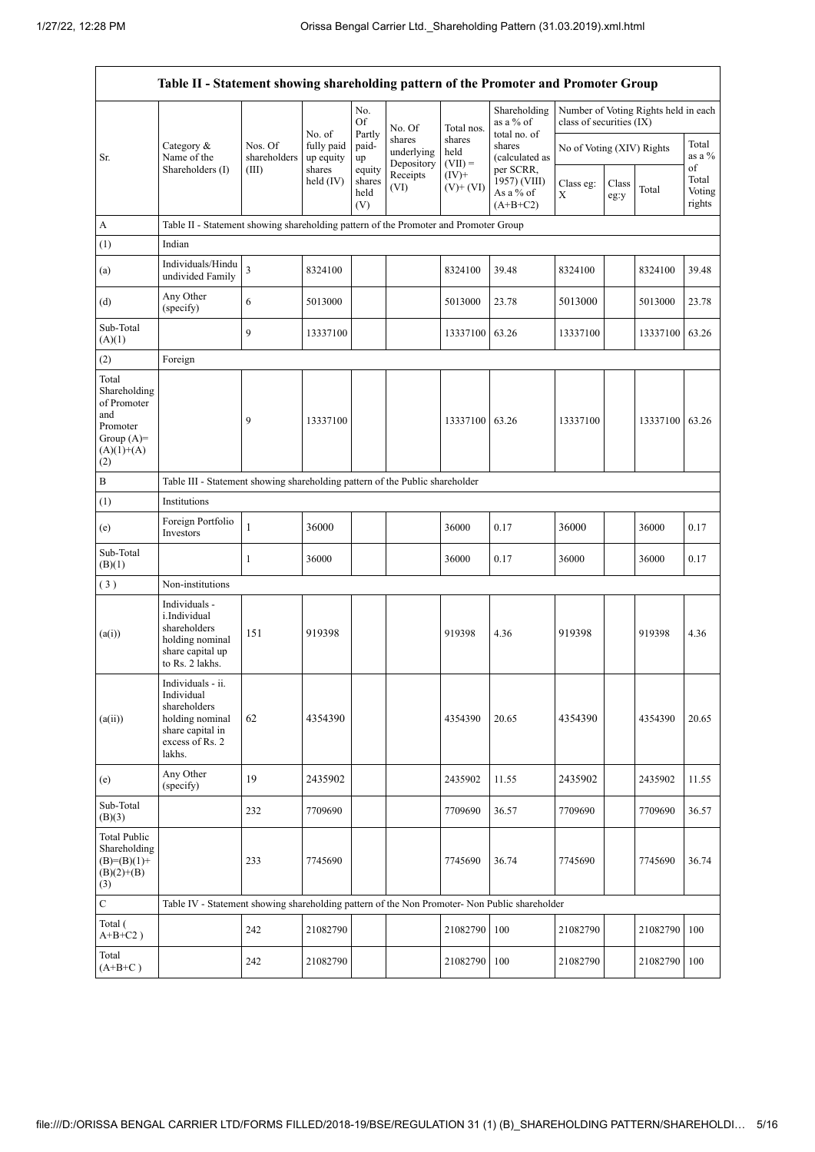|                                                                                                | Table II - Statement showing shareholding pattern of the Promoter and Promoter Group                                |                                  |                                                          |                                 |                                    |                             |                                                      |                           |               |                                      |                                 |
|------------------------------------------------------------------------------------------------|---------------------------------------------------------------------------------------------------------------------|----------------------------------|----------------------------------------------------------|---------------------------------|------------------------------------|-----------------------------|------------------------------------------------------|---------------------------|---------------|--------------------------------------|---------------------------------|
|                                                                                                |                                                                                                                     | Nos. Of<br>shareholders<br>(III) | No. of<br>fully paid<br>up equity<br>shares<br>held (IV) | No.<br>Of                       | No. Of                             | Total nos.                  | Shareholding<br>as a % of                            | class of securities (IX)  |               | Number of Voting Rights held in each |                                 |
| Sr.                                                                                            | Category &<br>Name of the                                                                                           |                                  |                                                          | Partly<br>paid-<br>up           | shares<br>underlying<br>Depository | shares<br>held<br>$(VII) =$ | total no. of<br>shares<br>(calculated as             | No of Voting (XIV) Rights |               |                                      | Total<br>as a %                 |
|                                                                                                | Shareholders (I)                                                                                                    |                                  |                                                          | equity<br>shares<br>held<br>(V) | Receipts<br>(VI)                   | $(IV)+$<br>$(V)$ + $(VI)$   | per SCRR,<br>1957) (VIII)<br>As a % of<br>$(A+B+C2)$ | Class eg:<br>X            | Class<br>eg:y | Total                                | of<br>Total<br>Voting<br>rights |
| A                                                                                              | Table II - Statement showing shareholding pattern of the Promoter and Promoter Group                                |                                  |                                                          |                                 |                                    |                             |                                                      |                           |               |                                      |                                 |
| (1)                                                                                            | Indian                                                                                                              |                                  |                                                          |                                 |                                    |                             |                                                      |                           |               |                                      |                                 |
| (a)                                                                                            | Individuals/Hindu<br>undivided Family                                                                               | 3                                | 8324100                                                  |                                 |                                    | 8324100                     | 39.48                                                | 8324100                   |               | 8324100                              | 39.48                           |
| (d)                                                                                            | Any Other<br>(specify)                                                                                              | 6                                | 5013000                                                  |                                 |                                    | 5013000                     | 23.78                                                | 5013000                   |               | 5013000                              | 23.78                           |
| Sub-Total<br>(A)(1)                                                                            |                                                                                                                     | 9                                | 13337100                                                 |                                 |                                    | 13337100                    | 63.26                                                | 13337100                  |               | 13337100                             | 63.26                           |
| (2)                                                                                            | Foreign                                                                                                             |                                  |                                                          |                                 |                                    |                             |                                                      |                           |               |                                      |                                 |
| Total<br>Shareholding<br>of Promoter<br>and<br>Promoter<br>Group $(A)=$<br>$(A)(1)+(A)$<br>(2) |                                                                                                                     | 9                                | 13337100                                                 |                                 |                                    | 13337100                    | 63.26                                                | 13337100                  |               | 13337100                             | 63.26                           |
| B                                                                                              | Table III - Statement showing shareholding pattern of the Public shareholder                                        |                                  |                                                          |                                 |                                    |                             |                                                      |                           |               |                                      |                                 |
| (1)                                                                                            | Institutions                                                                                                        |                                  |                                                          |                                 |                                    |                             |                                                      |                           |               |                                      |                                 |
| (e)                                                                                            | Foreign Portfolio<br>Investors                                                                                      | $\mathbf{1}$                     | 36000                                                    |                                 |                                    | 36000                       | 0.17                                                 | 36000                     |               | 36000                                | 0.17                            |
| Sub-Total<br>(B)(1)                                                                            |                                                                                                                     | $\mathbf{1}$                     | 36000                                                    |                                 |                                    | 36000                       | 0.17                                                 | 36000                     |               | 36000                                | 0.17                            |
| (3)                                                                                            | Non-institutions                                                                                                    |                                  |                                                          |                                 |                                    |                             |                                                      |                           |               |                                      |                                 |
| (a(i))                                                                                         | Individuals -<br>i.Individual<br>shareholders<br>holding nominal<br>share capital up<br>to Rs. 2 lakhs.             | 151                              | 919398                                                   |                                 |                                    | 919398                      | 4.36                                                 | 919398                    |               | 919398                               | 4.36                            |
| (a(ii))                                                                                        | Individuals - ii.<br>Individual<br>shareholders<br>holding nominal<br>share capital in<br>excess of Rs. 2<br>lakhs. | 62                               | 4354390                                                  |                                 |                                    | 4354390                     | 20.65                                                | 4354390                   |               | 4354390                              | 20.65                           |
| (e)                                                                                            | Any Other<br>(specify)                                                                                              | 19                               | 2435902                                                  |                                 |                                    | 2435902                     | 11.55                                                | 2435902                   |               | 2435902                              | 11.55                           |
| Sub-Total<br>(B)(3)                                                                            |                                                                                                                     | 232                              | 7709690                                                  |                                 |                                    | 7709690                     | 36.57                                                | 7709690                   |               | 7709690                              | 36.57                           |
| <b>Total Public</b><br>Shareholding<br>$(B)=(B)(1)+$<br>$(B)(2)+(B)$<br>(3)                    |                                                                                                                     | 233                              | 7745690                                                  |                                 |                                    | 7745690                     | 36.74                                                | 7745690                   |               | 7745690                              | 36.74                           |
| $\mathbf C$                                                                                    | Table IV - Statement showing shareholding pattern of the Non Promoter- Non Public shareholder                       |                                  |                                                          |                                 |                                    |                             |                                                      |                           |               |                                      |                                 |
| Total (<br>$A+B+C2$ )                                                                          |                                                                                                                     | 242                              | 21082790                                                 |                                 |                                    | 21082790                    | 100                                                  | 21082790                  |               | 21082790                             | 100                             |
| Total<br>$(A+B+C)$                                                                             |                                                                                                                     | 242                              | 21082790                                                 |                                 |                                    | 21082790                    | 100                                                  | 21082790                  |               | 21082790                             | 100                             |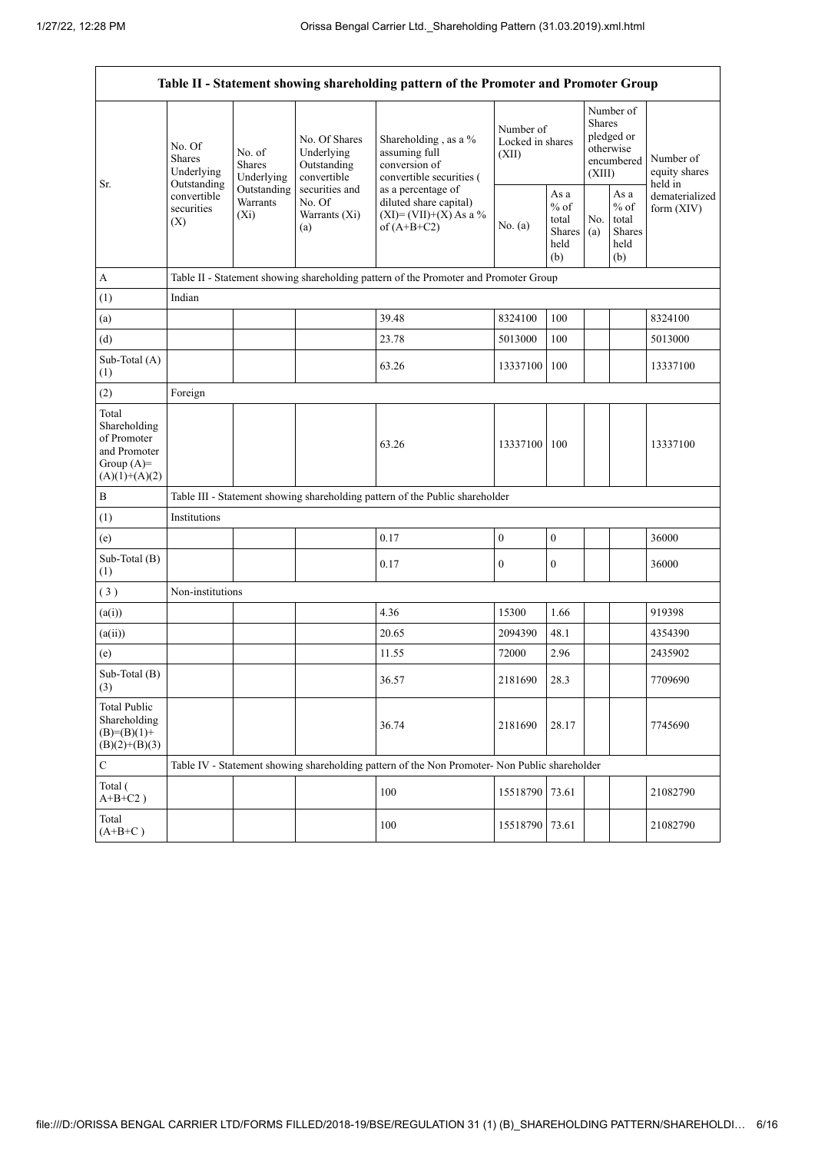.

|                                                                                         |                                                                                          |                                                                             |                                                                                                               | Table II - Statement showing shareholding pattern of the Promoter and Promoter Group                                                                                              |                                        |                                                         |                                                                               |                                                         |                                       |
|-----------------------------------------------------------------------------------------|------------------------------------------------------------------------------------------|-----------------------------------------------------------------------------|---------------------------------------------------------------------------------------------------------------|-----------------------------------------------------------------------------------------------------------------------------------------------------------------------------------|----------------------------------------|---------------------------------------------------------|-------------------------------------------------------------------------------|---------------------------------------------------------|---------------------------------------|
| Sr.                                                                                     | No. Of<br><b>Shares</b><br>Underlying<br>Outstanding<br>convertible<br>securities<br>(X) | No. of<br><b>Shares</b><br>Underlying<br>Outstanding<br>Warrants<br>$(X_i)$ | No. Of Shares<br>Underlying<br>Outstanding<br>convertible<br>securities and<br>No. Of<br>Warrants (Xi)<br>(a) | Shareholding , as a %<br>assuming full<br>conversion of<br>convertible securities (<br>as a percentage of<br>diluted share capital)<br>$(XI) = (VII)+(X) As a %$<br>of $(A+B+C2)$ | Number of<br>Locked in shares<br>(XII) |                                                         | Number of<br><b>Shares</b><br>pledged or<br>otherwise<br>encumbered<br>(XIII) |                                                         | Number of<br>equity shares<br>held in |
|                                                                                         |                                                                                          |                                                                             |                                                                                                               |                                                                                                                                                                                   | No. (a)                                | As a<br>$%$ of<br>total<br><b>Shares</b><br>held<br>(b) | No.<br>(a)                                                                    | As a<br>$%$ of<br>total<br><b>Shares</b><br>held<br>(b) | dematerialized<br>form $(XIV)$        |
| $\boldsymbol{\mathsf{A}}$                                                               |                                                                                          |                                                                             |                                                                                                               | Table II - Statement showing shareholding pattern of the Promoter and Promoter Group                                                                                              |                                        |                                                         |                                                                               |                                                         |                                       |
| (1)                                                                                     | Indian                                                                                   |                                                                             |                                                                                                               |                                                                                                                                                                                   |                                        |                                                         |                                                                               |                                                         |                                       |
| (a)                                                                                     |                                                                                          |                                                                             |                                                                                                               | 39.48                                                                                                                                                                             | 8324100                                | 100                                                     |                                                                               |                                                         | 8324100                               |
| (d)                                                                                     |                                                                                          |                                                                             |                                                                                                               | 23.78                                                                                                                                                                             | 5013000                                | 100                                                     |                                                                               |                                                         | 5013000                               |
| Sub-Total (A)<br>(1)                                                                    |                                                                                          |                                                                             |                                                                                                               | 63.26                                                                                                                                                                             | 13337100                               | 100                                                     |                                                                               |                                                         | 13337100                              |
| (2)                                                                                     | Foreign                                                                                  |                                                                             |                                                                                                               |                                                                                                                                                                                   |                                        |                                                         |                                                                               |                                                         |                                       |
| Total<br>Shareholding<br>of Promoter<br>and Promoter<br>Group $(A)=$<br>$(A)(1)+(A)(2)$ |                                                                                          |                                                                             |                                                                                                               | 63.26                                                                                                                                                                             | 13337100                               | 100                                                     |                                                                               |                                                         | 13337100                              |
| $\, {\bf B}$                                                                            |                                                                                          |                                                                             |                                                                                                               | Table III - Statement showing shareholding pattern of the Public shareholder                                                                                                      |                                        |                                                         |                                                                               |                                                         |                                       |
| (1)                                                                                     | Institutions                                                                             |                                                                             |                                                                                                               |                                                                                                                                                                                   |                                        |                                                         |                                                                               |                                                         |                                       |
| (e)                                                                                     |                                                                                          |                                                                             |                                                                                                               | 0.17                                                                                                                                                                              | $\boldsymbol{0}$                       | $\boldsymbol{0}$                                        |                                                                               |                                                         | 36000                                 |
| Sub-Total (B)<br>(1)                                                                    |                                                                                          |                                                                             |                                                                                                               | 0.17                                                                                                                                                                              | $\boldsymbol{0}$                       | $\boldsymbol{0}$                                        |                                                                               |                                                         | 36000                                 |
| (3)                                                                                     | Non-institutions                                                                         |                                                                             |                                                                                                               |                                                                                                                                                                                   |                                        |                                                         |                                                                               |                                                         |                                       |
| (a(i))                                                                                  |                                                                                          |                                                                             |                                                                                                               | 4.36                                                                                                                                                                              | 15300                                  | 1.66                                                    |                                                                               |                                                         | 919398                                |
| (a(ii))                                                                                 |                                                                                          |                                                                             |                                                                                                               | 20.65                                                                                                                                                                             | 2094390                                | 48.1                                                    |                                                                               |                                                         | 4354390                               |
| (e)                                                                                     |                                                                                          |                                                                             |                                                                                                               | 11.55                                                                                                                                                                             | 72000                                  | 2.96                                                    |                                                                               |                                                         | 2435902                               |
| Sub-Total (B)<br>(3)                                                                    |                                                                                          |                                                                             |                                                                                                               | 36.57                                                                                                                                                                             | 2181690                                | 28.3                                                    |                                                                               |                                                         | 7709690                               |
| <b>Total Public</b><br>Shareholding<br>$(B)=(B)(1)+$<br>$(B)(2)+(B)(3)$                 |                                                                                          |                                                                             |                                                                                                               | 36.74                                                                                                                                                                             | 2181690                                | 28.17                                                   |                                                                               |                                                         | 7745690                               |
| $\mathbf C$                                                                             |                                                                                          |                                                                             |                                                                                                               | Table IV - Statement showing shareholding pattern of the Non Promoter- Non Public shareholder                                                                                     |                                        |                                                         |                                                                               |                                                         |                                       |
| Total (<br>$A+B+C2$ )                                                                   |                                                                                          |                                                                             |                                                                                                               | 100                                                                                                                                                                               | 15518790                               | 73.61                                                   |                                                                               |                                                         | 21082790                              |
| Total<br>$(A+B+C)$                                                                      |                                                                                          |                                                                             |                                                                                                               | 100                                                                                                                                                                               | 15518790 73.61                         |                                                         |                                                                               |                                                         | 21082790                              |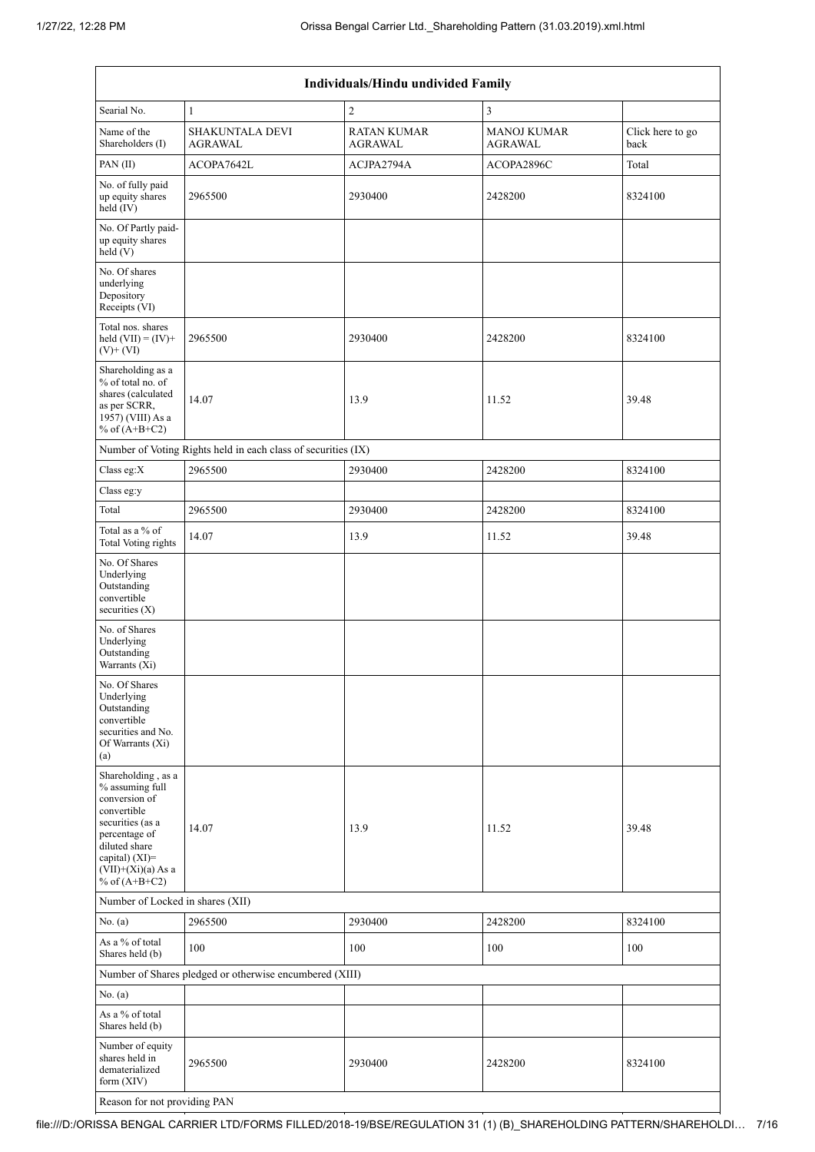|                                                                                                                                                                                             |                                                               | Individuals/Hindu undivided Family |                                      |                          |  |  |  |
|---------------------------------------------------------------------------------------------------------------------------------------------------------------------------------------------|---------------------------------------------------------------|------------------------------------|--------------------------------------|--------------------------|--|--|--|
| Searial No.                                                                                                                                                                                 | $\mathbf{1}$                                                  | $\sqrt{2}$                         | 3                                    |                          |  |  |  |
| Name of the<br>Shareholders (I)                                                                                                                                                             | <b>SHAKUNTALA DEVI</b><br><b>AGRAWAL</b>                      | <b>RATAN KUMAR</b><br>AGRAWAL      | <b>MANOJ KUMAR</b><br><b>AGRAWAL</b> | Click here to go<br>back |  |  |  |
| PAN(II)                                                                                                                                                                                     | ACOPA7642L                                                    | ACJPA2794A                         | ACOPA2896C                           | Total                    |  |  |  |
| No. of fully paid<br>up equity shares<br>held (IV)                                                                                                                                          | 2965500                                                       | 2930400                            | 2428200                              | 8324100                  |  |  |  |
| No. Of Partly paid-<br>up equity shares<br>held (V)                                                                                                                                         |                                                               |                                    |                                      |                          |  |  |  |
| No. Of shares<br>underlying<br>Depository<br>Receipts (VI)                                                                                                                                  |                                                               |                                    |                                      |                          |  |  |  |
| Total nos. shares<br>held $(VII) = (IV) +$<br>$(V)+(VI)$                                                                                                                                    | 2965500                                                       | 2930400                            | 2428200                              | 8324100                  |  |  |  |
| Shareholding as a<br>% of total no. of<br>shares (calculated<br>as per SCRR,<br>1957) (VIII) As a<br>% of $(A+B+C2)$                                                                        | 14.07                                                         | 13.9                               | 11.52                                | 39.48                    |  |  |  |
|                                                                                                                                                                                             | Number of Voting Rights held in each class of securities (IX) |                                    |                                      |                          |  |  |  |
| Class eg:X                                                                                                                                                                                  | 2965500                                                       | 2930400                            | 2428200                              | 8324100                  |  |  |  |
| Class eg:y                                                                                                                                                                                  |                                                               |                                    |                                      |                          |  |  |  |
| Total                                                                                                                                                                                       | 2965500                                                       | 2930400                            | 2428200                              | 8324100                  |  |  |  |
| Total as a % of<br>Total Voting rights                                                                                                                                                      | 14.07                                                         | 13.9                               | 11.52                                | 39.48                    |  |  |  |
| No. Of Shares<br>Underlying<br>Outstanding<br>convertible<br>securities (X)                                                                                                                 |                                                               |                                    |                                      |                          |  |  |  |
| No. of Shares<br>Underlying<br>Outstanding<br>Warrants (Xi)                                                                                                                                 |                                                               |                                    |                                      |                          |  |  |  |
| No. Of Shares<br>Underlying<br>Outstanding<br>convertible<br>securities and No.<br>Of Warrants (Xi)<br>(a)                                                                                  |                                                               |                                    |                                      |                          |  |  |  |
| Shareholding, as a<br>% assuming full<br>conversion of<br>convertible<br>securities (as a<br>percentage of<br>diluted share<br>capital) $(XI)$ =<br>$(VII)+(Xi)(a)$ As a<br>% of $(A+B+C2)$ | 14.07                                                         | 13.9                               | 11.52                                | 39.48                    |  |  |  |
| Number of Locked in shares (XII)                                                                                                                                                            |                                                               |                                    |                                      |                          |  |  |  |
| No. (a)                                                                                                                                                                                     | 2965500                                                       | 2930400                            | 2428200                              | 8324100                  |  |  |  |
| As a % of total<br>Shares held (b)                                                                                                                                                          | 100                                                           | 100                                | 100                                  | 100                      |  |  |  |
|                                                                                                                                                                                             | Number of Shares pledged or otherwise encumbered (XIII)       |                                    |                                      |                          |  |  |  |
| No. (a)                                                                                                                                                                                     |                                                               |                                    |                                      |                          |  |  |  |
| As a % of total<br>Shares held (b)                                                                                                                                                          |                                                               |                                    |                                      |                          |  |  |  |
| Number of equity<br>shares held in<br>dematerialized<br>form (XIV)                                                                                                                          | 2965500                                                       | 2930400                            | 2428200                              | 8324100                  |  |  |  |
| Reason for not providing PAN                                                                                                                                                                |                                                               |                                    |                                      |                          |  |  |  |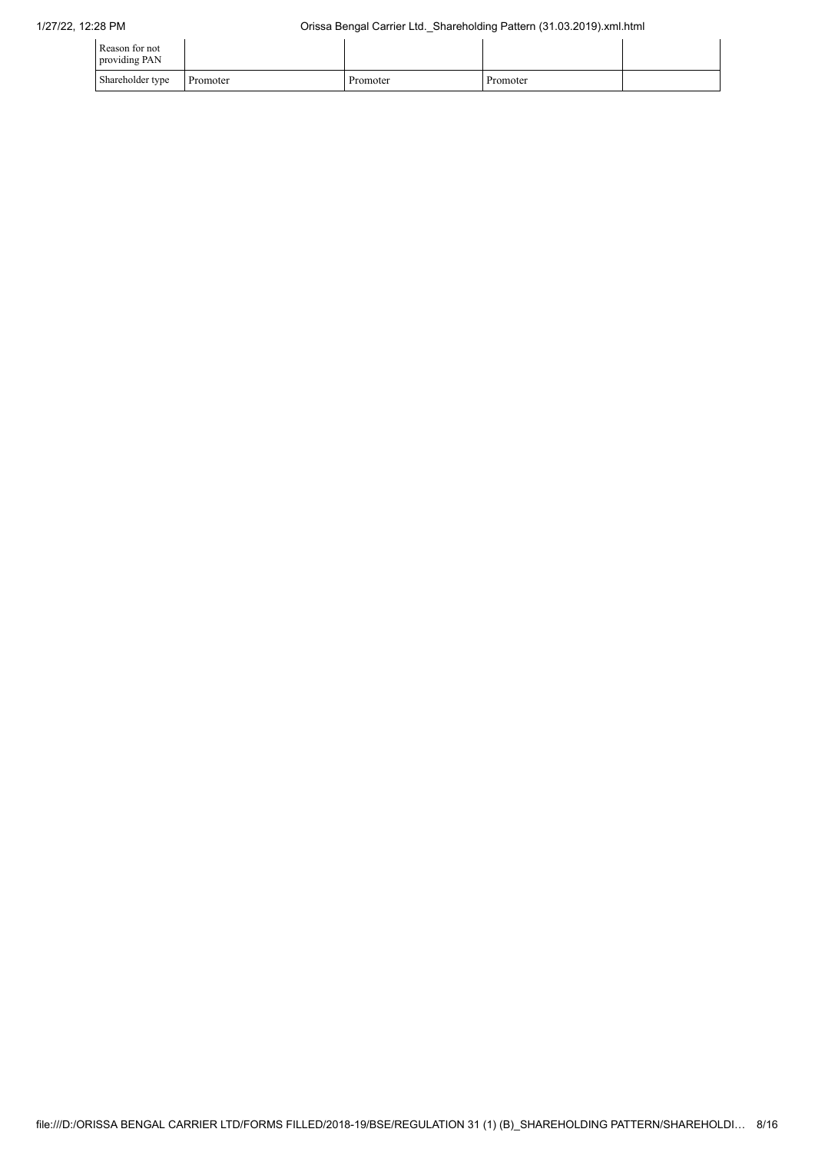| Reason for not<br>providing PAN |          |          |          |  |
|---------------------------------|----------|----------|----------|--|
| Shareholder type                | Promoter | Promoter | Promoter |  |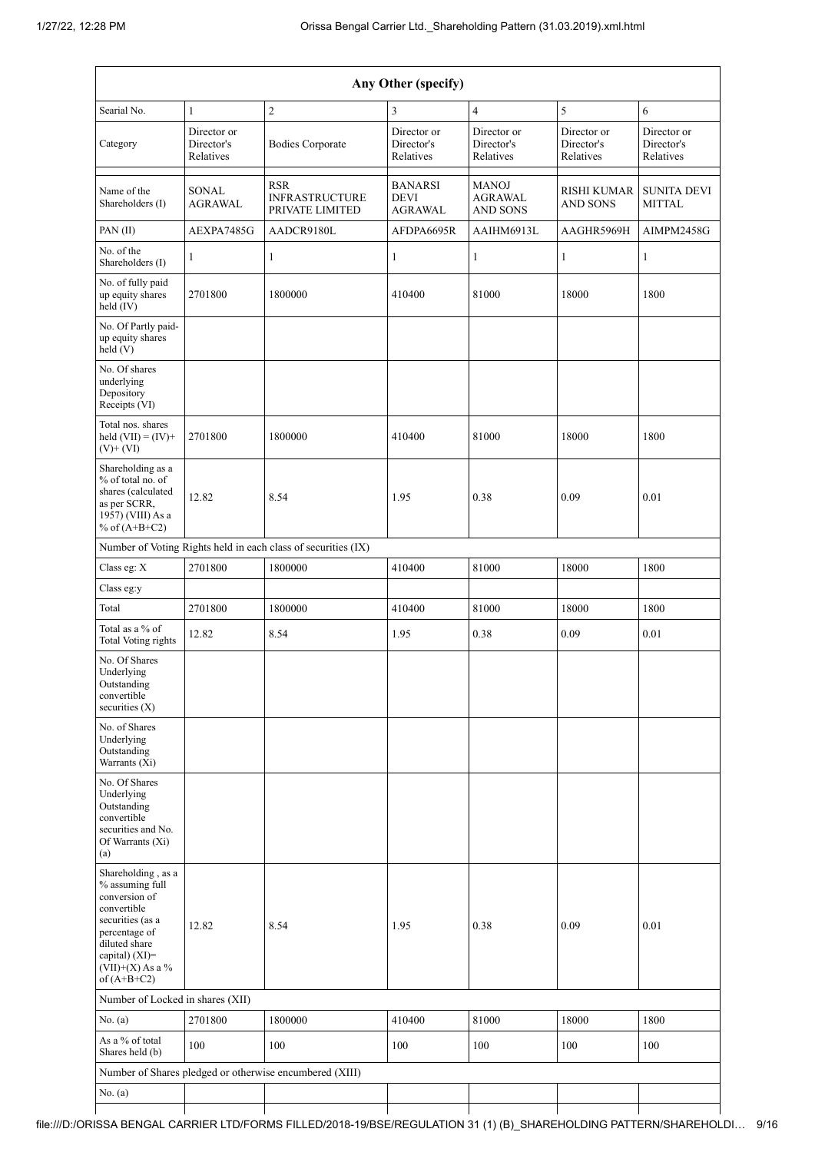|                                                                                                                                                                                      |                                        |                                                               | Any Other (specify)                             |                                                   |                                        |                                        |
|--------------------------------------------------------------------------------------------------------------------------------------------------------------------------------------|----------------------------------------|---------------------------------------------------------------|-------------------------------------------------|---------------------------------------------------|----------------------------------------|----------------------------------------|
| Searial No.                                                                                                                                                                          | $\mathbf{1}$                           | $\overline{c}$                                                | 3                                               | $\overline{4}$                                    | 5                                      | 6                                      |
| Category                                                                                                                                                                             | Director or<br>Director's<br>Relatives | <b>Bodies Corporate</b>                                       | Director or<br>Director's<br>Relatives          | Director or<br>Director's<br>Relatives            | Director or<br>Director's<br>Relatives | Director or<br>Director's<br>Relatives |
| Name of the<br>Shareholders (I)                                                                                                                                                      | <b>SONAL</b><br><b>AGRAWAL</b>         | <b>RSR</b><br><b>INFRASTRUCTURE</b><br>PRIVATE LIMITED        | <b>BANARSI</b><br><b>DEVI</b><br><b>AGRAWAL</b> | <b>MANOJ</b><br><b>AGRAWAL</b><br><b>AND SONS</b> | <b>RISHI KUMAR</b><br><b>AND SONS</b>  | <b>SUNITA DEVI</b><br><b>MITTAL</b>    |
| PAN(II)                                                                                                                                                                              | AEXPA7485G                             | AADCR9180L                                                    | AFDPA6695R                                      | AAIHM6913L                                        | AAGHR5969H                             | AIMPM2458G                             |
| No. of the<br>Shareholders (I)                                                                                                                                                       | 1                                      | 1                                                             | 1                                               | 1                                                 | $\mathbf{1}$                           | 1                                      |
| No. of fully paid<br>up equity shares<br>held $(IV)$                                                                                                                                 | 2701800                                | 1800000                                                       | 410400                                          | 81000                                             | 18000                                  | 1800                                   |
| No. Of Partly paid-<br>up equity shares<br>held (V)                                                                                                                                  |                                        |                                                               |                                                 |                                                   |                                        |                                        |
| No. Of shares<br>underlying<br>Depository<br>Receipts (VI)                                                                                                                           |                                        |                                                               |                                                 |                                                   |                                        |                                        |
| Total nos. shares<br>held $(VII) = (IV) +$<br>$(V)+(VI)$                                                                                                                             | 2701800                                | 1800000                                                       | 410400                                          | 81000                                             | 18000                                  | 1800                                   |
| Shareholding as a<br>% of total no. of<br>shares (calculated<br>as per SCRR,<br>1957) (VIII) As a<br>% of $(A+B+C2)$                                                                 | 12.82                                  | 8.54                                                          | 1.95                                            | 0.38                                              | 0.09                                   | 0.01                                   |
|                                                                                                                                                                                      |                                        | Number of Voting Rights held in each class of securities (IX) |                                                 |                                                   |                                        |                                        |
| Class eg: X                                                                                                                                                                          | 2701800                                | 1800000                                                       | 410400                                          | 81000                                             | 18000                                  | 1800                                   |
| Class eg:y                                                                                                                                                                           |                                        |                                                               |                                                 |                                                   |                                        |                                        |
| Total                                                                                                                                                                                | 2701800                                | 1800000                                                       | 410400                                          | 81000                                             | 18000                                  | 1800                                   |
| Total as a % of<br><b>Total Voting rights</b>                                                                                                                                        | 12.82                                  | 8.54                                                          | 1.95                                            | 0.38                                              | 0.09                                   | $0.01\,$                               |
| No. Of Shares<br>Underlying<br>Outstanding<br>convertible<br>securities $(X)$                                                                                                        |                                        |                                                               |                                                 |                                                   |                                        |                                        |
| No. of Shares<br>Underlying<br>Outstanding<br>Warrants (Xi)                                                                                                                          |                                        |                                                               |                                                 |                                                   |                                        |                                        |
| No. Of Shares<br>Underlying<br>Outstanding<br>convertible<br>securities and No.<br>Of Warrants (Xi)<br>(a)                                                                           |                                        |                                                               |                                                 |                                                   |                                        |                                        |
| Shareholding, as a<br>% assuming full<br>conversion of<br>convertible<br>securities (as a<br>percentage of<br>diluted share<br>capital) (XI)=<br>$(VII)+(X)$ As a %<br>of $(A+B+C2)$ | 12.82                                  | 8.54                                                          | 1.95                                            | 0.38                                              | 0.09                                   | 0.01                                   |
| Number of Locked in shares (XII)                                                                                                                                                     |                                        |                                                               |                                                 |                                                   |                                        |                                        |
| No. (a)                                                                                                                                                                              | 2701800                                | 1800000                                                       | 410400                                          | 81000                                             | 18000                                  | 1800                                   |
| As a % of total<br>Shares held (b)                                                                                                                                                   | 100                                    | 100                                                           | 100                                             | 100                                               | 100                                    | 100                                    |
|                                                                                                                                                                                      |                                        | Number of Shares pledged or otherwise encumbered (XIII)       |                                                 |                                                   |                                        |                                        |
| No. $(a)$                                                                                                                                                                            |                                        |                                                               |                                                 |                                                   |                                        |                                        |

file:///D:/ORISSA BENGAL CARRIER LTD/FORMS FILLED/2018-19/BSE/REGULATION 31 (1) (B)\_SHAREHOLDING PATTERN/SHAREHOLDI… 9/16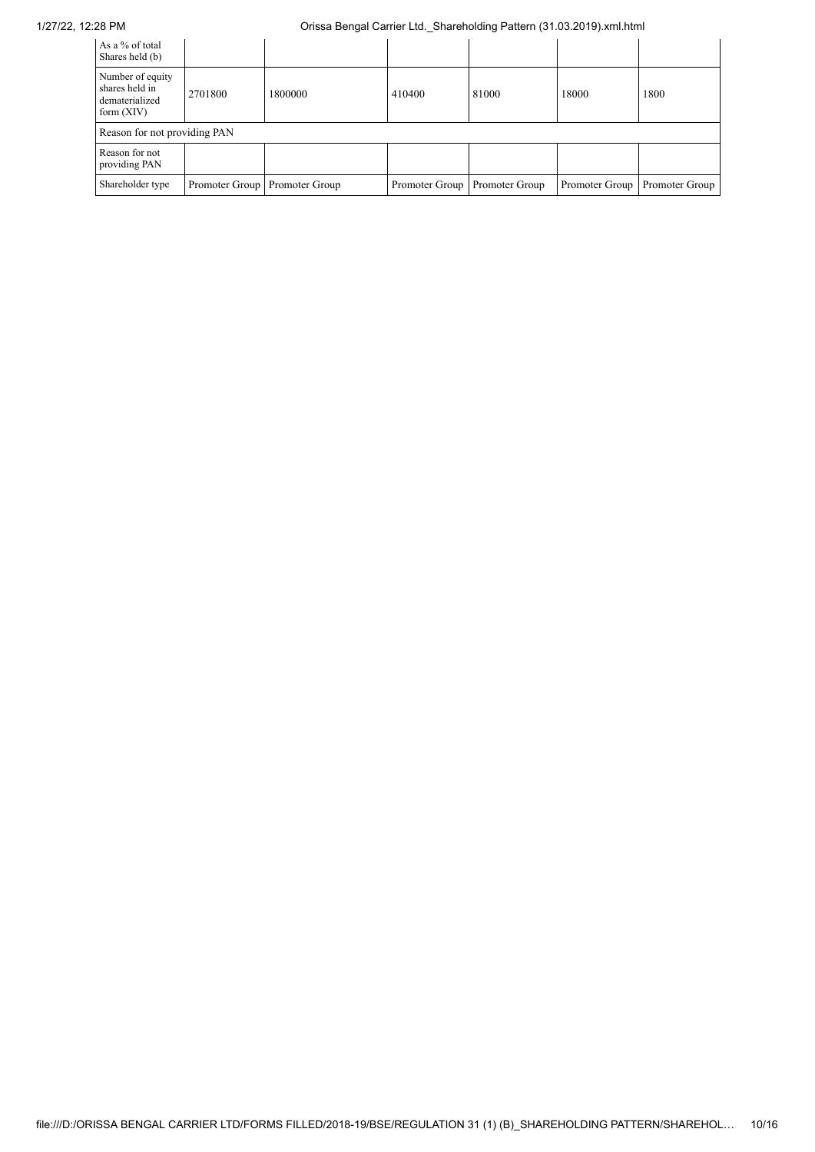## 1/27/22, 12:28 PM Orissa Bengal Carrier Ltd.\_Shareholding Pattern (31.03.2019).xml.html

| As a % of total<br>Shares held (b)                                   |                                 |         |                |                |                |                |  |  |
|----------------------------------------------------------------------|---------------------------------|---------|----------------|----------------|----------------|----------------|--|--|
| Number of equity<br>shares held in<br>dematerialized<br>form $(XIV)$ | 2701800                         | 1800000 | 410400         | 81000          | 18000          | 1800           |  |  |
|                                                                      | Reason for not providing PAN    |         |                |                |                |                |  |  |
| Reason for not<br>providing PAN                                      |                                 |         |                |                |                |                |  |  |
| Shareholder type                                                     | Promoter Group   Promoter Group |         | Promoter Group | Promoter Group | Promoter Group | Promoter Group |  |  |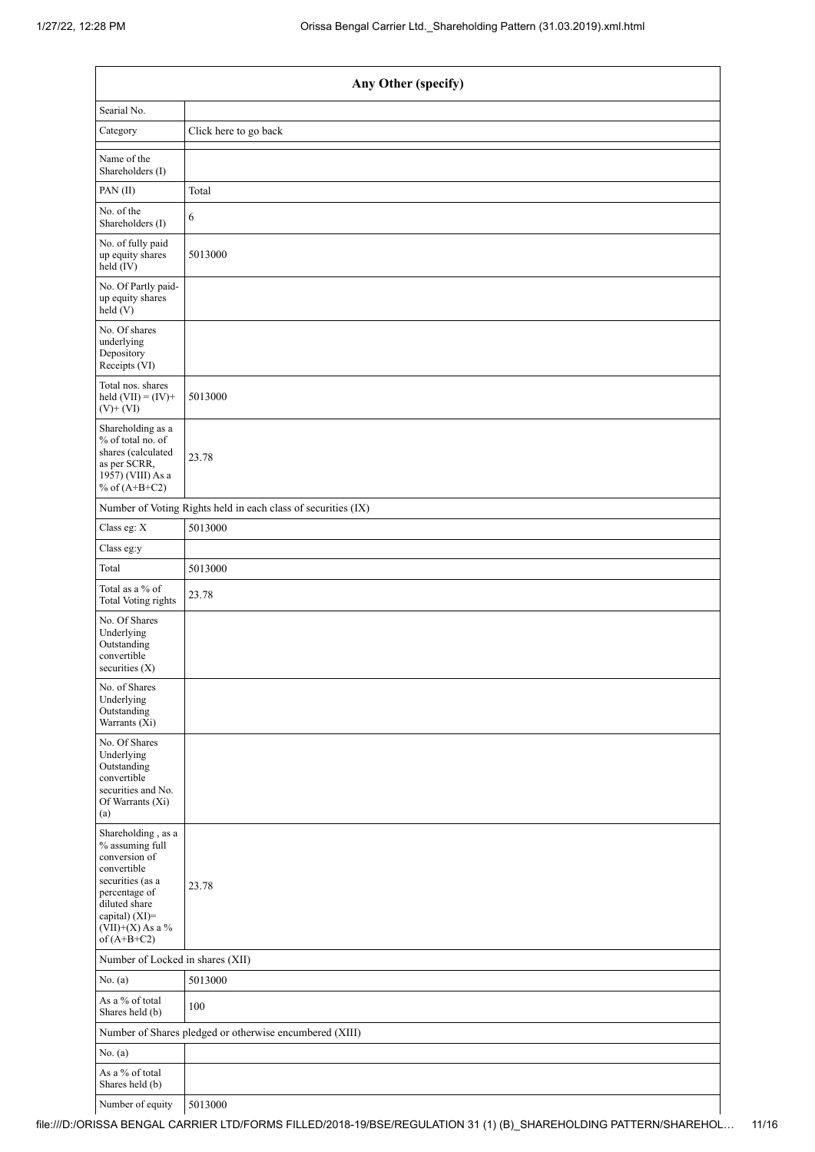|                                                                                                                                                                                      | Any Other (specify)                                           |  |  |  |  |  |  |
|--------------------------------------------------------------------------------------------------------------------------------------------------------------------------------------|---------------------------------------------------------------|--|--|--|--|--|--|
| Searial No.                                                                                                                                                                          |                                                               |  |  |  |  |  |  |
| Category                                                                                                                                                                             | Click here to go back                                         |  |  |  |  |  |  |
| Name of the<br>Shareholders (I)                                                                                                                                                      |                                                               |  |  |  |  |  |  |
| PAN(II)                                                                                                                                                                              | Total                                                         |  |  |  |  |  |  |
| No. of the<br>Shareholders (I)                                                                                                                                                       | 6                                                             |  |  |  |  |  |  |
| No. of fully paid<br>up equity shares<br>held (IV)                                                                                                                                   | 5013000                                                       |  |  |  |  |  |  |
| No. Of Partly paid-<br>up equity shares<br>held (V)                                                                                                                                  |                                                               |  |  |  |  |  |  |
| No. Of shares<br>underlying<br>Depository<br>Receipts (VI)                                                                                                                           |                                                               |  |  |  |  |  |  |
| Total nos. shares<br>held $(VII) = (IV) +$<br>$(V)$ + $(VI)$                                                                                                                         | 5013000                                                       |  |  |  |  |  |  |
| Shareholding as a<br>% of total no. of<br>shares (calculated<br>as per SCRR,<br>1957) (VIII) As a<br>% of $(A+B+C2)$                                                                 | 23.78                                                         |  |  |  |  |  |  |
|                                                                                                                                                                                      | Number of Voting Rights held in each class of securities (IX) |  |  |  |  |  |  |
| Class eg: X                                                                                                                                                                          | 5013000                                                       |  |  |  |  |  |  |
| Class eg:y                                                                                                                                                                           |                                                               |  |  |  |  |  |  |
| Total                                                                                                                                                                                | 5013000                                                       |  |  |  |  |  |  |
| Total as a % of<br>Total Voting rights                                                                                                                                               | 23.78                                                         |  |  |  |  |  |  |
| No. Of Shares<br>Underlying<br>Outstanding<br>convertible<br>securities (X)                                                                                                          |                                                               |  |  |  |  |  |  |
| No. of Shares<br>Underlying<br>Outstanding<br>Warrants (Xi)                                                                                                                          |                                                               |  |  |  |  |  |  |
| No. Of Shares<br>Underlying<br>Outstanding<br>convertible<br>securities and No.<br>Of Warrants (Xi)<br>(a)                                                                           |                                                               |  |  |  |  |  |  |
| Shareholding, as a<br>% assuming full<br>conversion of<br>convertible<br>securities (as a<br>percentage of<br>diluted share<br>capital) (XI)=<br>$(VII)+(X)$ As a %<br>of $(A+B+C2)$ | 23.78                                                         |  |  |  |  |  |  |
| Number of Locked in shares (XII)                                                                                                                                                     |                                                               |  |  |  |  |  |  |
| No. (a)                                                                                                                                                                              | 5013000                                                       |  |  |  |  |  |  |
| As a % of total<br>Shares held (b)                                                                                                                                                   | 100                                                           |  |  |  |  |  |  |
|                                                                                                                                                                                      | Number of Shares pledged or otherwise encumbered (XIII)       |  |  |  |  |  |  |
| No. $(a)$                                                                                                                                                                            |                                                               |  |  |  |  |  |  |
| As a % of total<br>Shares held (b)                                                                                                                                                   |                                                               |  |  |  |  |  |  |
| Number of equity                                                                                                                                                                     | 5013000                                                       |  |  |  |  |  |  |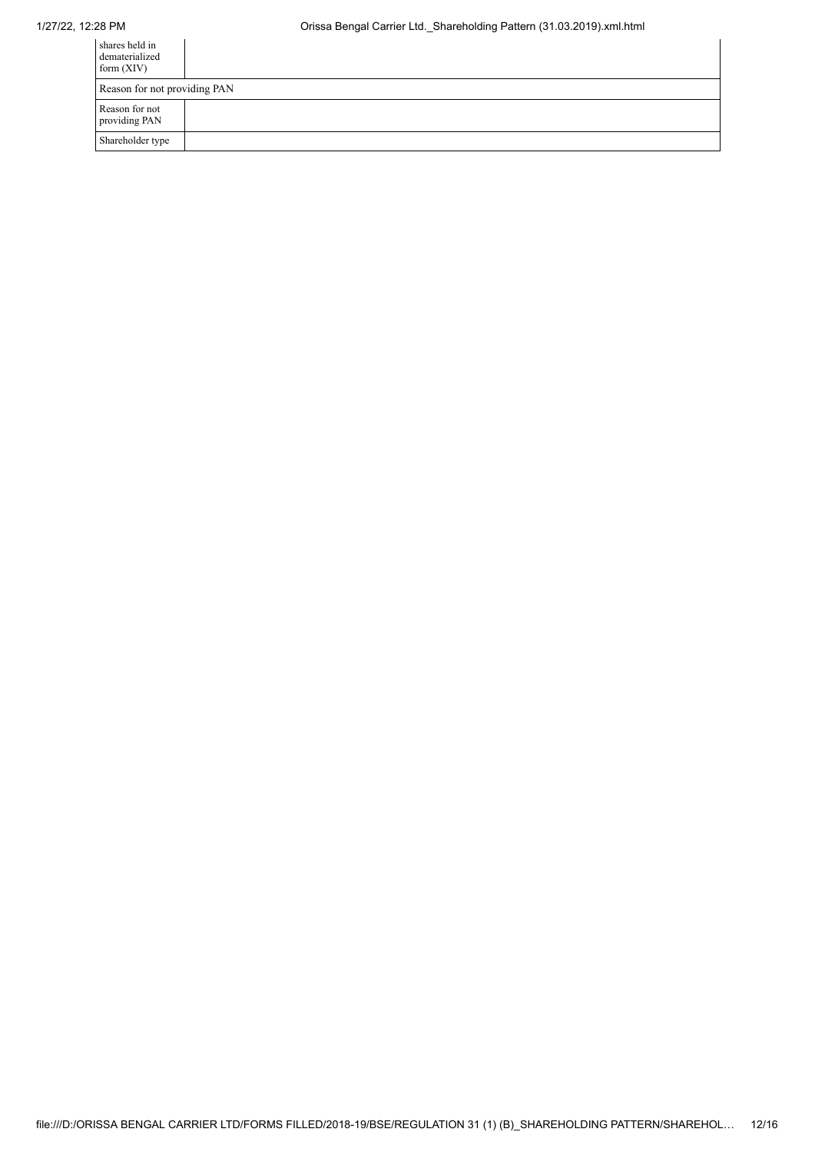| shares held in<br>dematerialized<br>form $(XIV)$ |  |  |  |  |
|--------------------------------------------------|--|--|--|--|
| Reason for not providing PAN                     |  |  |  |  |
| Reason for not<br>providing PAN                  |  |  |  |  |
| Shareholder type                                 |  |  |  |  |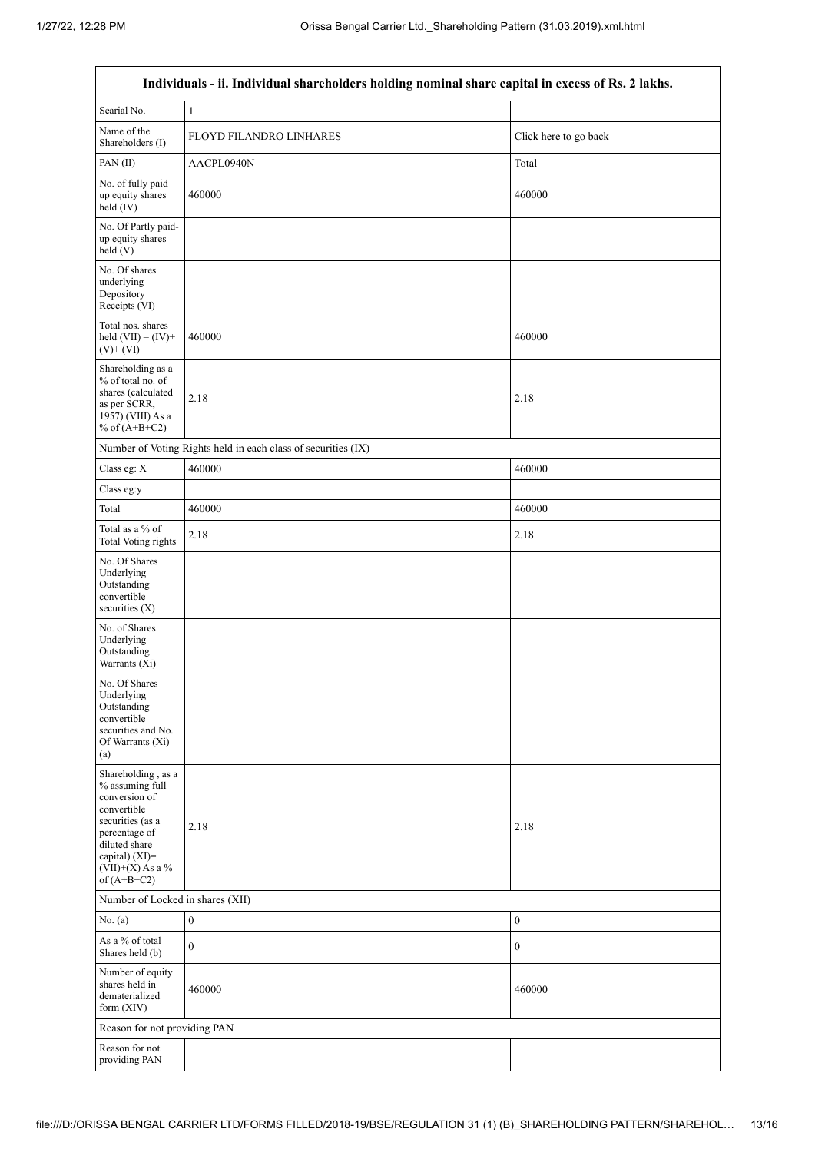| Individuals - ii. Individual shareholders holding nominal share capital in excess of Rs. 2 lakhs.                                                                                    |                                                               |                       |  |  |  |  |  |  |
|--------------------------------------------------------------------------------------------------------------------------------------------------------------------------------------|---------------------------------------------------------------|-----------------------|--|--|--|--|--|--|
| Searial No.                                                                                                                                                                          | $\mathbf{1}$                                                  |                       |  |  |  |  |  |  |
| Name of the<br>Shareholders (I)                                                                                                                                                      | <b>FLOYD FILANDRO LINHARES</b>                                | Click here to go back |  |  |  |  |  |  |
| PAN(II)                                                                                                                                                                              | AACPL0940N                                                    | Total                 |  |  |  |  |  |  |
| No. of fully paid<br>up equity shares<br>held (IV)                                                                                                                                   | 460000                                                        | 460000                |  |  |  |  |  |  |
| No. Of Partly paid-<br>up equity shares<br>held (V)                                                                                                                                  |                                                               |                       |  |  |  |  |  |  |
| No. Of shares<br>underlying<br>Depository<br>Receipts (VI)                                                                                                                           |                                                               |                       |  |  |  |  |  |  |
| Total nos. shares<br>held $(VII) = (IV) +$<br>$(V)$ + $(VI)$                                                                                                                         | 460000                                                        | 460000                |  |  |  |  |  |  |
| Shareholding as a<br>% of total no. of<br>shares (calculated<br>as per SCRR,<br>1957) (VIII) As a<br>% of $(A+B+C2)$                                                                 | 2.18                                                          | 2.18                  |  |  |  |  |  |  |
|                                                                                                                                                                                      | Number of Voting Rights held in each class of securities (IX) |                       |  |  |  |  |  |  |
| Class eg: X                                                                                                                                                                          | 460000                                                        | 460000                |  |  |  |  |  |  |
| Class eg:y                                                                                                                                                                           |                                                               |                       |  |  |  |  |  |  |
| Total                                                                                                                                                                                | 460000                                                        | 460000                |  |  |  |  |  |  |
| Total as a $\%$ of<br><b>Total Voting rights</b>                                                                                                                                     | 2.18                                                          | 2.18                  |  |  |  |  |  |  |
| No. Of Shares<br>Underlying<br>Outstanding<br>convertible<br>securities $(X)$                                                                                                        |                                                               |                       |  |  |  |  |  |  |
| No. of Shares<br>Underlying<br>Outstanding<br>Warrants (Xi)                                                                                                                          |                                                               |                       |  |  |  |  |  |  |
| No. Of Shares<br>Underlying<br>Outstanding<br>convertible<br>securities and No.<br>Of Warrants (Xi)<br>(a)                                                                           |                                                               |                       |  |  |  |  |  |  |
| Shareholding, as a<br>% assuming full<br>conversion of<br>convertible<br>securities (as a<br>percentage of<br>diluted share<br>capital) (XI)=<br>$(VII)+(X)$ As a %<br>of $(A+B+C2)$ | 2.18                                                          | 2.18                  |  |  |  |  |  |  |
|                                                                                                                                                                                      | Number of Locked in shares (XII)                              |                       |  |  |  |  |  |  |
| No. (a)                                                                                                                                                                              | $\boldsymbol{0}$                                              | $\boldsymbol{0}$      |  |  |  |  |  |  |
| As a % of total<br>Shares held (b)                                                                                                                                                   | $\mathbf{0}$                                                  | $\boldsymbol{0}$      |  |  |  |  |  |  |
| Number of equity<br>shares held in<br>dematerialized<br>form $(XIV)$                                                                                                                 | 460000                                                        | 460000                |  |  |  |  |  |  |
|                                                                                                                                                                                      | Reason for not providing PAN                                  |                       |  |  |  |  |  |  |
| Reason for not<br>providing PAN                                                                                                                                                      |                                                               |                       |  |  |  |  |  |  |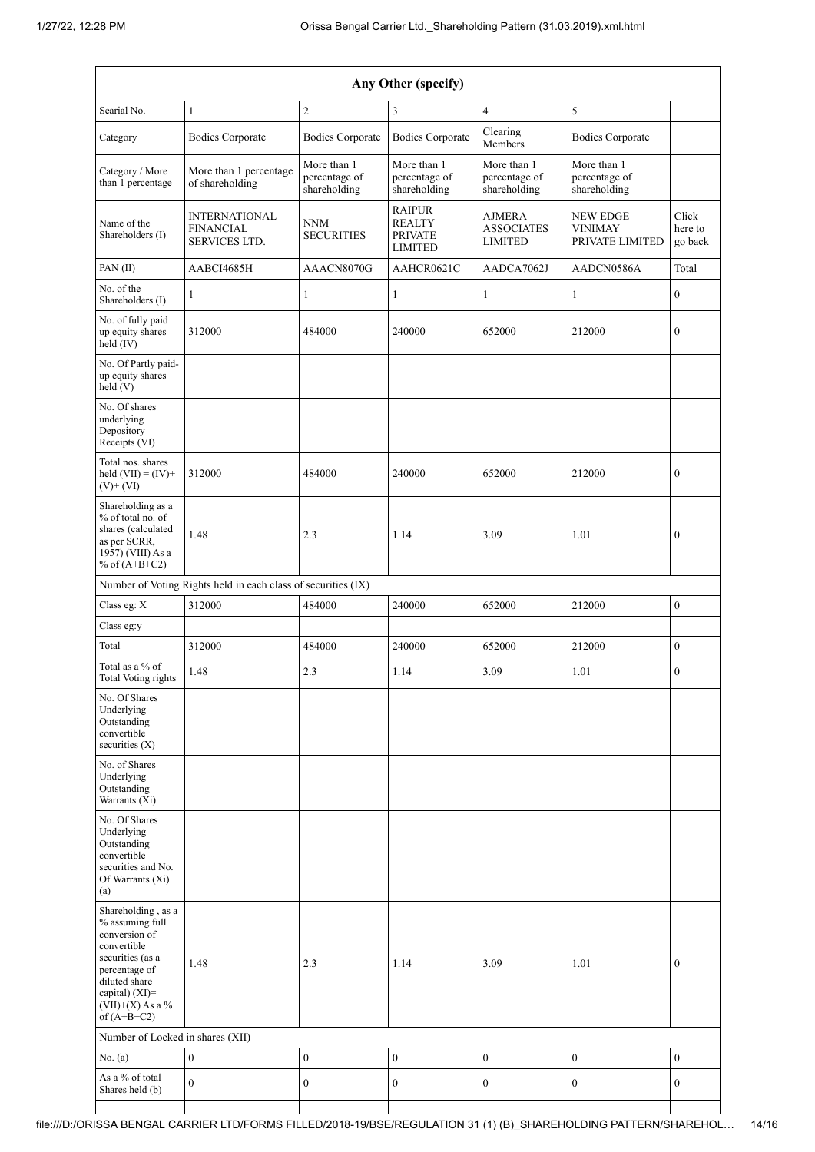| Any Other (specify)                                                                                                                                                                  |                                                               |                                              |                                                                    |                                                      |                                                      |                             |  |  |
|--------------------------------------------------------------------------------------------------------------------------------------------------------------------------------------|---------------------------------------------------------------|----------------------------------------------|--------------------------------------------------------------------|------------------------------------------------------|------------------------------------------------------|-----------------------------|--|--|
| Searial No.                                                                                                                                                                          | $\mathbf{1}$                                                  | $\sqrt{2}$                                   | 3                                                                  | $\overline{4}$                                       | 5                                                    |                             |  |  |
| Category                                                                                                                                                                             | <b>Bodies Corporate</b>                                       | <b>Bodies Corporate</b>                      | <b>Bodies Corporate</b>                                            | Clearing<br>Members                                  | <b>Bodies Corporate</b>                              |                             |  |  |
| Category / More<br>than 1 percentage                                                                                                                                                 | More than 1 percentage<br>of shareholding                     | More than 1<br>percentage of<br>shareholding | More than 1<br>percentage of<br>shareholding                       | More than 1<br>percentage of<br>shareholding         | More than 1<br>percentage of<br>shareholding         |                             |  |  |
| Name of the<br>Shareholders (I)                                                                                                                                                      | <b>INTERNATIONAL</b><br><b>FINANCIAL</b><br>SERVICES LTD.     | <b>NNM</b><br><b>SECURITIES</b>              | <b>RAIPUR</b><br><b>REALTY</b><br><b>PRIVATE</b><br><b>LIMITED</b> | <b>AJMERA</b><br><b>ASSOCIATES</b><br><b>LIMITED</b> | <b>NEW EDGE</b><br><b>VINIMAY</b><br>PRIVATE LIMITED | Click<br>here to<br>go back |  |  |
| PAN(II)                                                                                                                                                                              | AABCI4685H                                                    | AAACN8070G                                   | AAHCR0621C                                                         | AADCA7062J                                           | AADCN0586A                                           | Total                       |  |  |
| No. of the<br>Shareholders (I)                                                                                                                                                       | 1                                                             | 1                                            | $\mathbf{1}$                                                       | $\mathbf{1}$                                         | 1                                                    | $\boldsymbol{0}$            |  |  |
| No. of fully paid<br>up equity shares<br>held (IV)                                                                                                                                   | 312000                                                        | 484000                                       | 240000                                                             | 652000                                               | 212000                                               | $\boldsymbol{0}$            |  |  |
| No. Of Partly paid-<br>up equity shares<br>held (V)                                                                                                                                  |                                                               |                                              |                                                                    |                                                      |                                                      |                             |  |  |
| No. Of shares<br>underlying<br>Depository<br>Receipts (VI)                                                                                                                           |                                                               |                                              |                                                                    |                                                      |                                                      |                             |  |  |
| Total nos. shares<br>held $(VII) = (IV) +$<br>$(V)$ + $(VI)$                                                                                                                         | 312000                                                        | 484000                                       | 240000                                                             | 652000                                               | 212000                                               | $\boldsymbol{0}$            |  |  |
| Shareholding as a<br>% of total no. of<br>shares (calculated<br>as per SCRR,<br>1957) (VIII) As a<br>% of $(A+B+C2)$                                                                 | 1.48                                                          | 2.3                                          | 1.14                                                               | 3.09                                                 | 1.01                                                 | 0                           |  |  |
|                                                                                                                                                                                      | Number of Voting Rights held in each class of securities (IX) |                                              |                                                                    |                                                      |                                                      |                             |  |  |
| Class eg: X                                                                                                                                                                          | 312000                                                        | 484000                                       | 240000                                                             | 652000                                               | 212000                                               | $\boldsymbol{0}$            |  |  |
| Class eg:y                                                                                                                                                                           |                                                               |                                              |                                                                    |                                                      |                                                      |                             |  |  |
| Total                                                                                                                                                                                | 312000                                                        | 484000                                       | 240000                                                             | 652000                                               | 212000                                               | $\mathbf{0}$                |  |  |
| Total as a % of<br>Total Voting rights                                                                                                                                               | 1.48                                                          | 2.3                                          | 1.14                                                               | 3.09                                                 | 1.01                                                 | $\boldsymbol{0}$            |  |  |
| No. Of Shares<br>Underlying<br>Outstanding<br>convertible<br>securities (X)                                                                                                          |                                                               |                                              |                                                                    |                                                      |                                                      |                             |  |  |
| No. of Shares<br>Underlying<br>Outstanding<br>Warrants (Xi)                                                                                                                          |                                                               |                                              |                                                                    |                                                      |                                                      |                             |  |  |
| No. Of Shares<br>Underlying<br>Outstanding<br>convertible<br>securities and No.<br>Of Warrants (Xi)<br>(a)                                                                           |                                                               |                                              |                                                                    |                                                      |                                                      |                             |  |  |
| Shareholding, as a<br>% assuming full<br>conversion of<br>convertible<br>securities (as a<br>percentage of<br>diluted share<br>capital) (XI)=<br>$(VII)+(X)$ As a %<br>of $(A+B+C2)$ | 1.48                                                          | 2.3                                          | 1.14                                                               | 3.09                                                 | 1.01                                                 | $\mathbf{0}$                |  |  |
| Number of Locked in shares (XII)                                                                                                                                                     |                                                               |                                              |                                                                    |                                                      |                                                      |                             |  |  |
| No. (a)                                                                                                                                                                              | $\boldsymbol{0}$                                              | $\boldsymbol{0}$                             | $\boldsymbol{0}$                                                   | $\boldsymbol{0}$                                     | $\boldsymbol{0}$                                     | $\mathbf{0}$                |  |  |
| As a % of total<br>Shares held (b)                                                                                                                                                   | $\overline{0}$                                                | $\boldsymbol{0}$                             | $\boldsymbol{0}$                                                   | $\boldsymbol{0}$                                     | $\boldsymbol{0}$                                     | $\boldsymbol{0}$            |  |  |